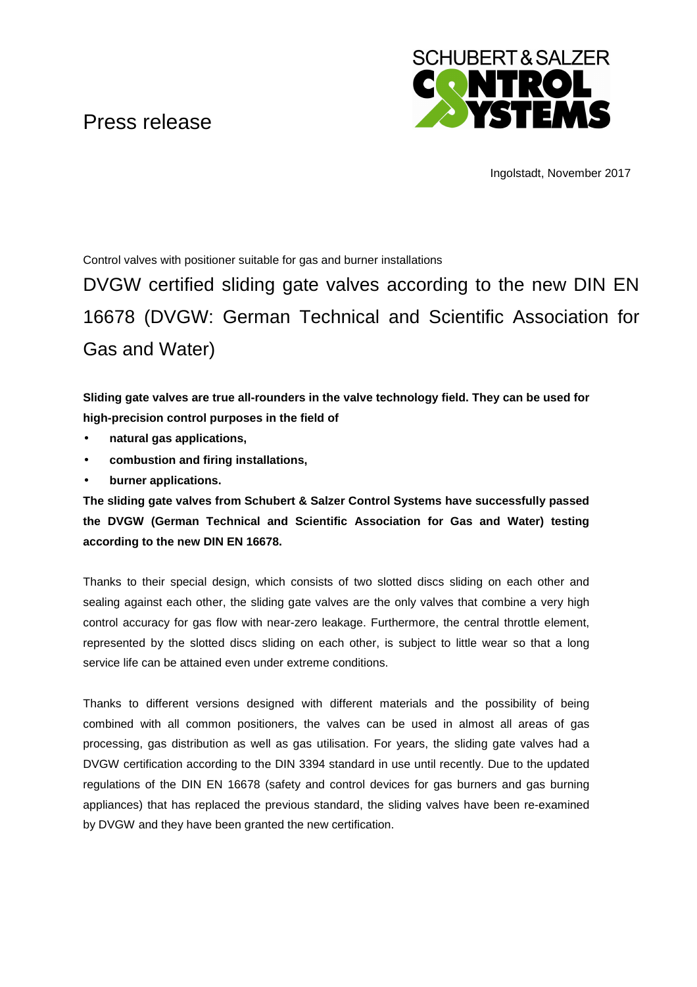## Press release



Ingolstadt, November 2017

Control valves with positioner suitable for gas and burner installations

DVGW certified sliding gate valves according to the new DIN EN 16678 (DVGW: German Technical and Scientific Association for Gas and Water)

**Sliding gate valves are true all-rounders in the valve technology field. They can be used for high-precision control purposes in the field of** 

- **natural gas applications,**
- **combustion and firing installations,**
- **burner applications.**

**The sliding gate valves from Schubert & Salzer Control Systems have successfully passed the DVGW (German Technical and Scientific Association for Gas and Water) testing according to the new DIN EN 16678.**

Thanks to their special design, which consists of two slotted discs sliding on each other and sealing against each other, the sliding gate valves are the only valves that combine a very high control accuracy for gas flow with near-zero leakage. Furthermore, the central throttle element, represented by the slotted discs sliding on each other, is subject to little wear so that a long service life can be attained even under extreme conditions.

Thanks to different versions designed with different materials and the possibility of being combined with all common positioners, the valves can be used in almost all areas of gas processing, gas distribution as well as gas utilisation. For years, the sliding gate valves had a DVGW certification according to the DIN 3394 standard in use until recently. Due to the updated regulations of the DIN EN 16678 (safety and control devices for gas burners and gas burning appliances) that has replaced the previous standard, the sliding valves have been re-examined by DVGW and they have been granted the new certification.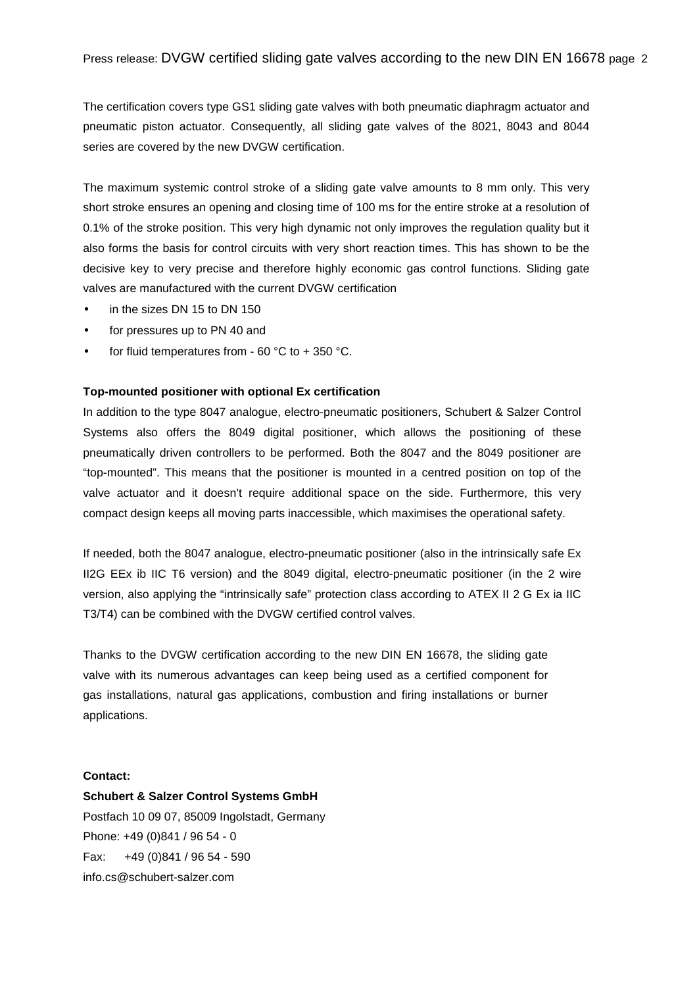The certification covers type GS1 sliding gate valves with both pneumatic diaphragm actuator and pneumatic piston actuator. Consequently, all sliding gate valves of the 8021, 8043 and 8044 series are covered by the new DVGW certification.

The maximum systemic control stroke of a sliding gate valve amounts to 8 mm only. This very short stroke ensures an opening and closing time of 100 ms for the entire stroke at a resolution of 0.1% of the stroke position. This very high dynamic not only improves the regulation quality but it also forms the basis for control circuits with very short reaction times. This has shown to be the decisive key to very precise and therefore highly economic gas control functions. Sliding gate valves are manufactured with the current DVGW certification

- in the sizes DN 15 to DN 150
- for pressures up to PN 40 and
- for fluid temperatures from 60  $^{\circ}$ C to + 350  $^{\circ}$ C.

## **Top-mounted positioner with optional Ex certification**

In addition to the type 8047 analogue, electro-pneumatic positioners, Schubert & Salzer Control Systems also offers the 8049 digital positioner, which allows the positioning of these pneumatically driven controllers to be performed. Both the 8047 and the 8049 positioner are "top-mounted". This means that the positioner is mounted in a centred position on top of the valve actuator and it doesn't require additional space on the side. Furthermore, this very compact design keeps all moving parts inaccessible, which maximises the operational safety.

If needed, both the 8047 analogue, electro-pneumatic positioner (also in the intrinsically safe Ex II2G EEx ib IIC T6 version) and the 8049 digital, electro-pneumatic positioner (in the 2 wire version, also applying the "intrinsically safe" protection class according to ATEX II 2 G Ex ia IIC T3/T4) can be combined with the DVGW certified control valves.

Thanks to the DVGW certification according to the new DIN EN 16678, the sliding gate valve with its numerous advantages can keep being used as a certified component for gas installations, natural gas applications, combustion and firing installations or burner applications.

## **Contact:**

**Schubert & Salzer Control Systems GmbH**  Postfach 10 09 07, 85009 Ingolstadt, Germany Phone: +49 (0)841 / 96 54 - 0 Fax: +49 (0)841 / 96 54 - 590 info.cs@schubert-salzer.com